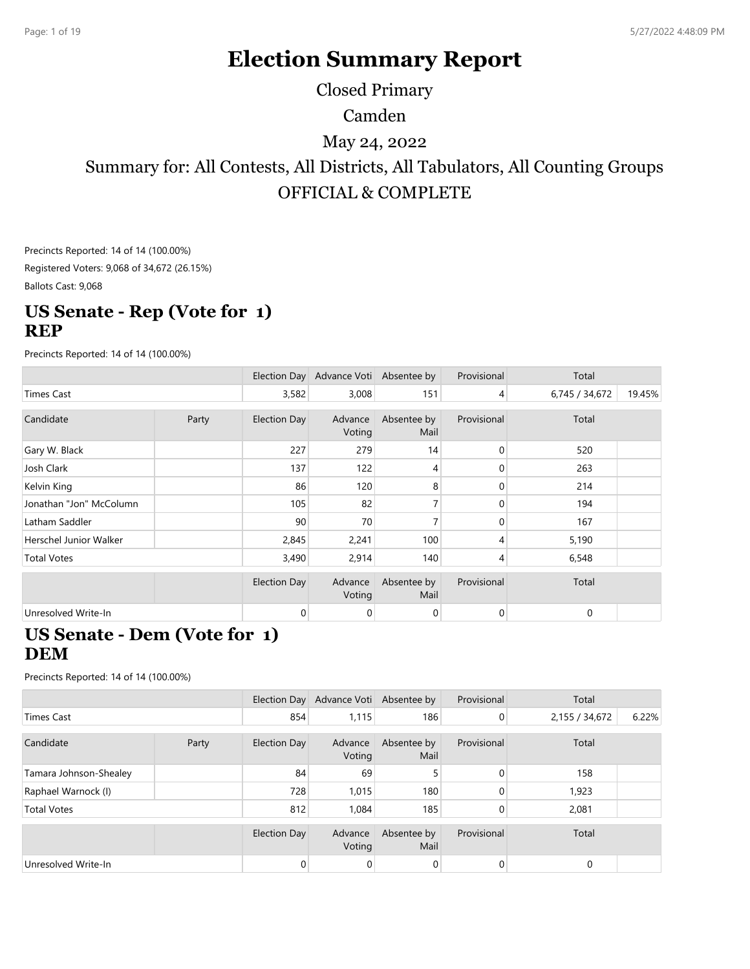# **Election Summary Report**

Closed Primary

Camden

May 24, 2022

Summary for: All Contests, All Districts, All Tabulators, All Counting Groups OFFICIAL & COMPLETE

Precincts Reported: 14 of 14 (100.00%) Registered Voters: 9,068 of 34,672 (26.15%)

Ballots Cast: 9,068

#### **US Senate - Rep (Vote for 1) REP**

Precincts Reported: 14 of 14 (100.00%)

|                         |       |                     | Election Day Advance Voti Absentee by |                     | Provisional    | Total          |        |
|-------------------------|-------|---------------------|---------------------------------------|---------------------|----------------|----------------|--------|
| Times Cast              |       | 3,582               | 3,008                                 | 151                 | $\overline{4}$ | 6,745 / 34,672 | 19.45% |
| Candidate               | Party | <b>Election Day</b> | Advance<br>Voting                     | Absentee by<br>Mail | Provisional    | Total          |        |
| Gary W. Black           |       | 227                 | 279                                   | 14                  | 0              | 520            |        |
| Josh Clark              |       | 137                 | 122                                   | 4                   | 0              | 263            |        |
| Kelvin King             |       | 86                  | 120                                   | 8                   | $\mathbf{0}$   | 214            |        |
| Jonathan "Jon" McColumn |       | 105                 | 82                                    |                     | 0              | 194            |        |
| Latham Saddler          |       | 90                  | 70                                    | 7                   | $\Omega$       | 167            |        |
| Herschel Junior Walker  |       | 2,845               | 2,241                                 | 100                 | $\overline{4}$ | 5,190          |        |
| <b>Total Votes</b>      |       | 3,490               | 2,914                                 | 140                 | 4              | 6,548          |        |
|                         |       | <b>Election Day</b> | Advance<br>Voting                     | Absentee by<br>Mail | Provisional    | Total          |        |
| Unresolved Write-In     |       | 0                   | 0                                     | 0                   | $\mathbf 0$    | 0              |        |

#### **US Senate - Dem (Vote for 1) DEM**

|                        |       |                     | Election Day Advance Voti Absentee by |                     | Provisional    | Total          |       |
|------------------------|-------|---------------------|---------------------------------------|---------------------|----------------|----------------|-------|
| Times Cast             |       | 854                 | 1,115                                 | 186                 | $\overline{0}$ | 2,155 / 34,672 | 6.22% |
| Candidate              | Party | <b>Election Day</b> | Advance<br>Voting                     | Absentee by<br>Mail | Provisional    | Total          |       |
| Tamara Johnson-Shealey |       | 84                  | 69                                    | 5                   | $\Omega$       | 158            |       |
| Raphael Warnock (I)    |       | 728                 | 1,015                                 | 180                 | 0              | 1,923          |       |
| <b>Total Votes</b>     |       | 812                 | 1,084                                 | 185                 |                | 2,081          |       |
|                        |       | Election Day        | Advance<br>Voting                     | Absentee by<br>Mail | Provisional    | Total          |       |
| Unresolved Write-In    |       | 0                   | 0                                     | 0                   | 0              | $\mathbf 0$    |       |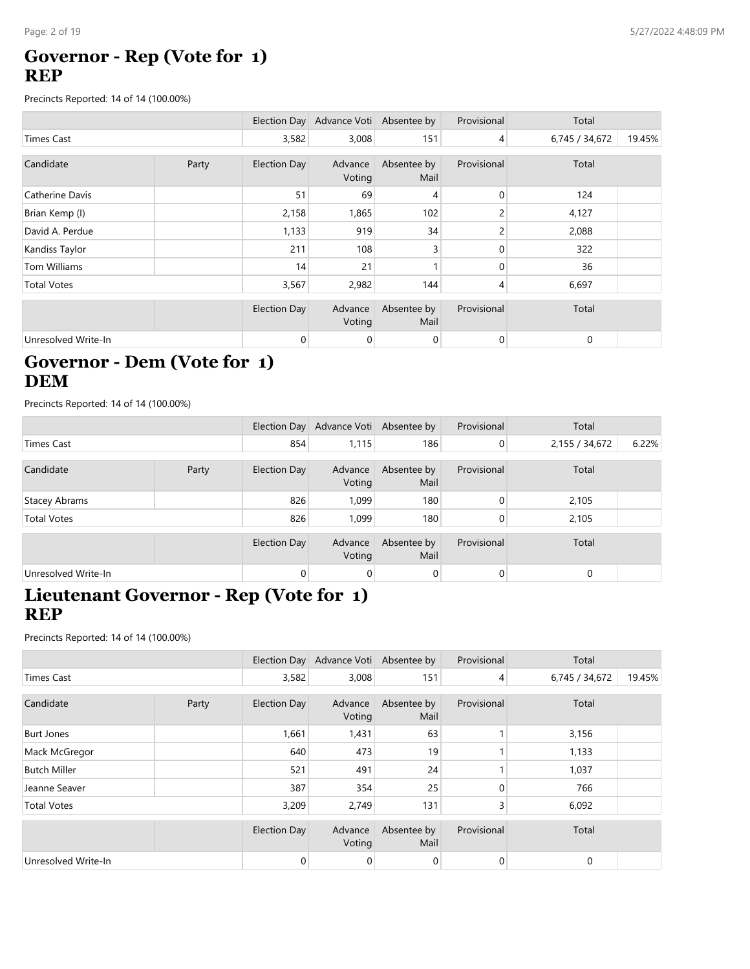# **Governor - Rep (Vote for 1) REP**

Precincts Reported: 14 of 14 (100.00%)

|                     |       |                     | Election Day Advance Voti Absentee by |                     | Provisional    | Total          |        |
|---------------------|-------|---------------------|---------------------------------------|---------------------|----------------|----------------|--------|
| <b>Times Cast</b>   |       | 3,582               | 3,008                                 | 151                 | $\overline{4}$ | 6,745 / 34,672 | 19.45% |
| Candidate           | Party | <b>Election Day</b> | Advance<br>Voting                     | Absentee by<br>Mail | Provisional    | Total          |        |
| Catherine Davis     |       | 51                  | 69                                    | 4                   | 0              | 124            |        |
| Brian Kemp (I)      |       | 2,158               | 1,865                                 | 102                 |                | 4,127          |        |
| David A. Perdue     |       | 1,133               | 919                                   | 34                  | $\overline{c}$ | 2,088          |        |
| Kandiss Taylor      |       | 211                 | 108                                   | 3                   | 0              | 322            |        |
| Tom Williams        |       | 14                  | 21                                    |                     | 0              | 36             |        |
| <b>Total Votes</b>  |       | 3,567               | 2,982                                 | 144                 | 4              | 6,697          |        |
|                     |       | <b>Election Day</b> | Advance<br>Voting                     | Absentee by<br>Mail | Provisional    | Total          |        |
| Unresolved Write-In |       | 0                   | 0                                     | 0                   | $\mathbf 0$    | $\mathbf 0$    |        |

# **Governor - Dem (Vote for 1) DEM**

Precincts Reported: 14 of 14 (100.00%)

|                      |       |                | Election Day Advance Voti Absentee by |                     | Provisional    | Total          |       |
|----------------------|-------|----------------|---------------------------------------|---------------------|----------------|----------------|-------|
| Times Cast           |       | 854            | 1,115                                 | 186                 | $\overline{0}$ | 2,155 / 34,672 | 6.22% |
| Candidate            | Party | Election Day   | Advance<br>Voting                     | Absentee by<br>Mail | Provisional    | Total          |       |
| <b>Stacey Abrams</b> |       | 826            | 1.099                                 | 180                 | $\overline{0}$ | 2,105          |       |
| <b>Total Votes</b>   |       | 826            | 1.099                                 | 180                 | 0              | 2,105          |       |
|                      |       | Election Day   | Advance<br>Voting                     | Absentee by<br>Mail | Provisional    | Total          |       |
| Unresolved Write-In  |       | $\overline{0}$ | $\overline{0}$                        | $\overline{0}$      | $\overline{0}$ | 0              |       |

# **Lieutenant Governor - Rep (Vote for 1) REP**

|                     |       |                     | Election Day Advance Voti Absentee by |                     | Provisional | Total          |        |
|---------------------|-------|---------------------|---------------------------------------|---------------------|-------------|----------------|--------|
| <b>Times Cast</b>   |       | 3,582               | 3,008                                 | 151                 | 4           | 6,745 / 34,672 | 19.45% |
|                     |       |                     |                                       |                     |             |                |        |
| Candidate           | Party | <b>Election Day</b> | Advance<br>Voting                     | Absentee by<br>Mail | Provisional | Total          |        |
| <b>Burt Jones</b>   |       | 1,661               | 1,431                                 | 63                  |             | 3,156          |        |
| Mack McGregor       |       | 640                 | 473                                   | 19                  |             | 1,133          |        |
| <b>Butch Miller</b> |       | 521                 | 491                                   | 24                  |             | 1,037          |        |
| Jeanne Seaver       |       | 387                 | 354                                   | 25                  | 0           | 766            |        |
| <b>Total Votes</b>  |       | 3,209               | 2,749                                 | 131                 | 3           | 6,092          |        |
|                     |       | <b>Election Day</b> | Advance<br>Voting                     | Absentee by<br>Mail | Provisional | Total          |        |
| Unresolved Write-In |       | 0                   | 0                                     | 0                   | 0           | 0              |        |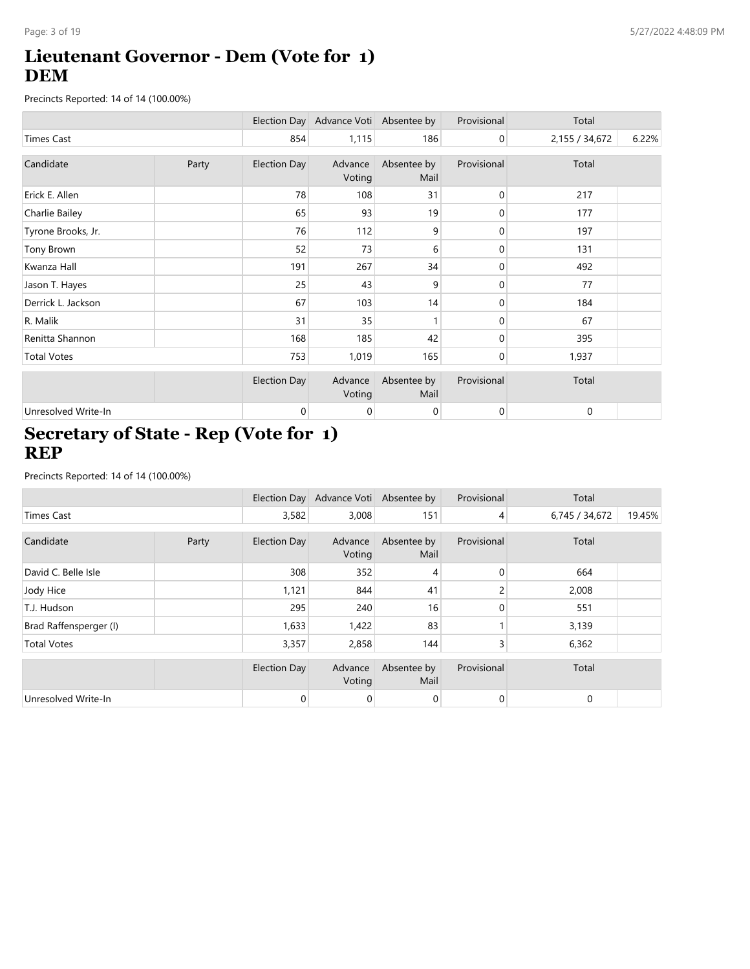# **Lieutenant Governor - Dem (Vote for 1) DEM**

Precincts Reported: 14 of 14 (100.00%)

|                     |       |                     | Election Day Advance Voti Absentee by |                     | Provisional    | Total          |       |
|---------------------|-------|---------------------|---------------------------------------|---------------------|----------------|----------------|-------|
| <b>Times Cast</b>   |       | 854                 | 1,115                                 | 186                 | $\overline{0}$ | 2,155 / 34,672 | 6.22% |
| Candidate           | Party | <b>Election Day</b> | Advance<br>Voting                     | Absentee by<br>Mail | Provisional    | Total          |       |
| Erick E. Allen      |       | 78                  | 108                                   | 31                  | $\overline{0}$ | 217            |       |
| Charlie Bailey      |       | 65                  | 93                                    | 19                  | 0              | 177            |       |
| Tyrone Brooks, Jr.  |       | 76                  | 112                                   | 9                   | $\overline{0}$ | 197            |       |
| Tony Brown          |       | 52                  | 73                                    | 6                   | 0              | 131            |       |
| Kwanza Hall         |       | 191                 | 267                                   | 34                  | 0              | 492            |       |
| Jason T. Hayes      |       | 25                  | 43                                    | 9                   | 0              | 77             |       |
| Derrick L. Jackson  |       | 67                  | 103                                   | 14                  | $\overline{0}$ | 184            |       |
| R. Malik            |       | 31                  | 35                                    |                     | $\overline{0}$ | 67             |       |
| Renitta Shannon     |       | 168                 | 185                                   | 42                  | 0              | 395            |       |
| <b>Total Votes</b>  |       | 753                 | 1,019                                 | 165                 | $\overline{0}$ | 1,937          |       |
|                     |       | <b>Election Day</b> | Advance<br>Voting                     | Absentee by<br>Mail | Provisional    | Total          |       |
| Unresolved Write-In |       | 0                   | 0                                     | $\mathbf 0$         | $\overline{0}$ | 0              |       |

# **Secretary of State - Rep (Vote for 1) REP**

|                        |       |                     | Election Day Advance Voti Absentee by |                     | Provisional    | Total          |        |
|------------------------|-------|---------------------|---------------------------------------|---------------------|----------------|----------------|--------|
| <b>Times Cast</b>      |       | 3,582               | 3,008                                 | 151                 | $\overline{4}$ | 6,745 / 34,672 | 19.45% |
| Candidate              | Party | <b>Election Day</b> | Advance                               | Absentee by         | Provisional    | Total          |        |
|                        |       |                     | Voting                                | Mail                |                |                |        |
| David C. Belle Isle    |       | 308                 | 352                                   | 4                   | $\mathbf{0}$   | 664            |        |
| Jody Hice              |       | 1,121               | 844                                   | 41                  | $\overline{c}$ | 2,008          |        |
| T.J. Hudson            |       | 295                 | 240                                   | 16                  | 0              | 551            |        |
| Brad Raffensperger (I) |       | 1,633               | 1,422                                 | 83                  |                | 3,139          |        |
| <b>Total Votes</b>     |       | 3,357               | 2,858                                 | 144                 | 3              | 6,362          |        |
|                        |       | <b>Election Day</b> | Advance<br>Voting                     | Absentee by<br>Mail | Provisional    | Total          |        |
| Unresolved Write-In    |       | 0                   | 0                                     | $\overline{0}$      | $\overline{0}$ | 0              |        |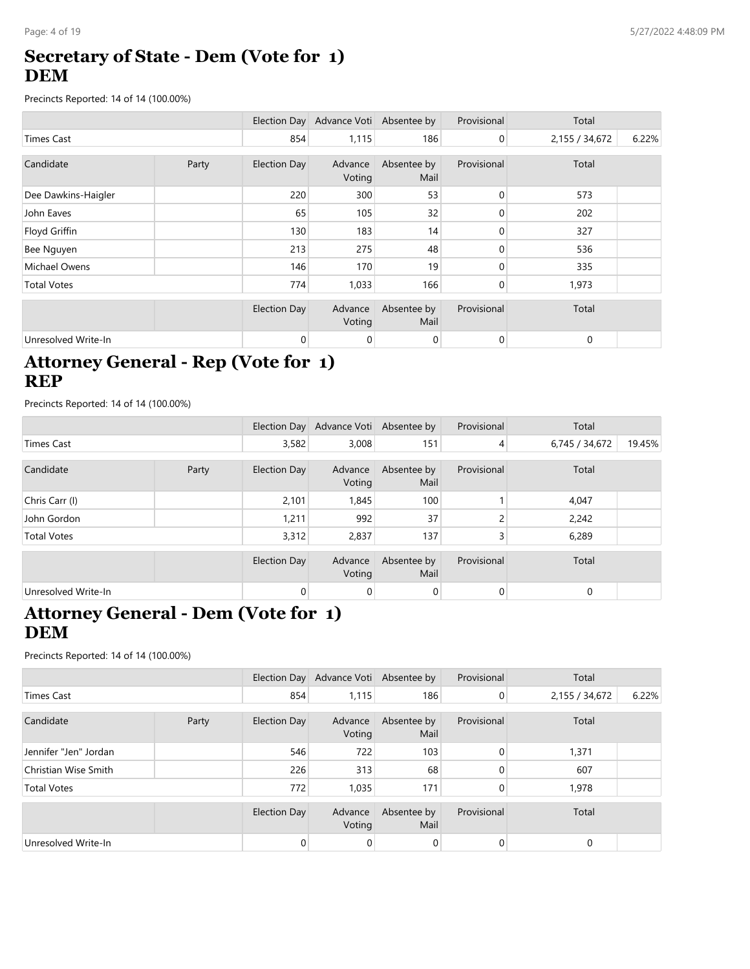# **Secretary of State - Dem (Vote for 1) DEM**

Precincts Reported: 14 of 14 (100.00%)

|                     |       |                     | Election Day Advance Voti Absentee by |                     | Provisional    | Total          |       |
|---------------------|-------|---------------------|---------------------------------------|---------------------|----------------|----------------|-------|
| <b>Times Cast</b>   |       | 854                 | 1,115                                 | 186                 | $\overline{0}$ | 2,155 / 34,672 | 6.22% |
| Candidate           | Party | <b>Election Day</b> | Advance<br>Voting                     | Absentee by<br>Mail | Provisional    | Total          |       |
| Dee Dawkins-Haigler |       | 220                 | 300                                   | 53                  | 0              | 573            |       |
| John Eaves          |       | 65                  | 105                                   | 32                  | 0              | 202            |       |
| Floyd Griffin       |       | 130                 | 183                                   | 14                  | 0              | 327            |       |
| Bee Nguyen          |       | 213                 | 275                                   | 48                  | 0              | 536            |       |
| Michael Owens       |       | 146                 | 170                                   | 19                  | $\Omega$       | 335            |       |
| <b>Total Votes</b>  |       | 774                 | 1,033                                 | 166                 | 0              | 1,973          |       |
|                     |       | <b>Election Day</b> | Advance<br>Voting                     | Absentee by<br>Mail | Provisional    | Total          |       |
| Unresolved Write-In |       | 0                   | 0                                     | 0                   | 0              | 0              |       |

## **Attorney General - Rep (Vote for 1) REP**

Precincts Reported: 14 of 14 (100.00%)

|                     |       |              | Election Day Advance Voti Absentee by |                     | Provisional    | Total          |        |
|---------------------|-------|--------------|---------------------------------------|---------------------|----------------|----------------|--------|
| <b>Times Cast</b>   |       | 3,582        | 3,008                                 | 151                 | 4              | 6,745 / 34,672 | 19.45% |
| Candidate           | Party | Election Day | Advance<br>Voting                     | Absentee by<br>Mail | Provisional    | Total          |        |
| Chris Carr (I)      |       | 2,101        | 1,845                                 | 100                 |                | 4,047          |        |
| John Gordon         |       | 1,211        | 992                                   | 37                  | ∍              | 2,242          |        |
| <b>Total Votes</b>  |       | 3,312        | 2,837                                 | 137                 | 3              | 6,289          |        |
|                     |       | Election Day | Advance<br>Voting                     | Absentee by<br>Mail | Provisional    | Total          |        |
| Unresolved Write-In |       | 0            | 0                                     | 0                   | $\overline{0}$ | 0              |        |

#### **Attorney General - Dem (Vote for 1) DEM**

|                       |       |                | Election Day Advance Voti Absentee by |                     | Provisional | Total          |       |
|-----------------------|-------|----------------|---------------------------------------|---------------------|-------------|----------------|-------|
| <b>Times Cast</b>     |       | 854            | 1,115                                 | 186                 | 0           | 2,155 / 34,672 | 6.22% |
| Candidate             | Party | Election Day   | Advance<br>Voting                     | Absentee by<br>Mail | Provisional | Total          |       |
| Jennifer "Jen" Jordan |       | 546            | 722                                   | 103                 | $\Omega$    | 1,371          |       |
| Christian Wise Smith  |       | 226            | 313                                   | 68                  | 0           | 607            |       |
| <b>Total Votes</b>    |       | 772            | 1,035                                 | 171                 | $\Omega$    | 1,978          |       |
|                       |       | Election Day   | Advance<br>Voting                     | Absentee by<br>Mail | Provisional | Total          |       |
| Unresolved Write-In   |       | $\overline{0}$ | 0                                     | $\mathbf 0$         | 0           | $\Omega$       |       |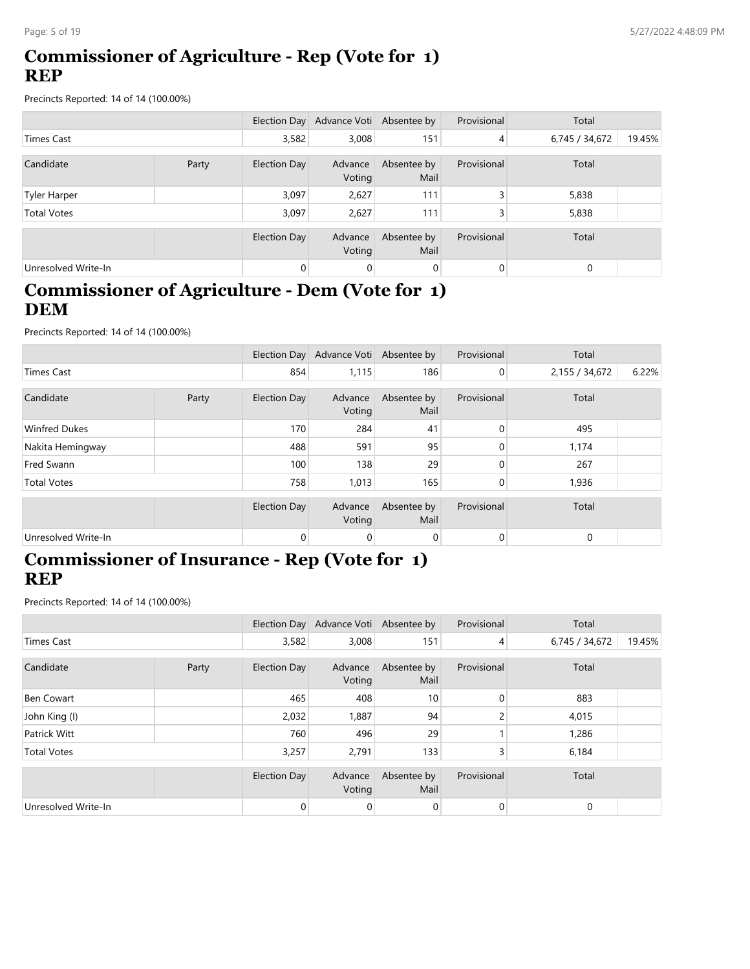## **Commissioner of Agriculture - Rep (Vote for 1) REP**

Precincts Reported: 14 of 14 (100.00%)

|                     |       |              | Election Day Advance Voti Absentee by |                     | Provisional    | Total          |        |
|---------------------|-------|--------------|---------------------------------------|---------------------|----------------|----------------|--------|
| Times Cast          |       | 3,582        | 3,008                                 | 151                 | $\overline{4}$ | 6,745 / 34,672 | 19.45% |
| Candidate           | Party | Election Day | Advance<br>Voting                     | Absentee by<br>Mail | Provisional    | Total          |        |
| <b>Tyler Harper</b> |       | 3,097        | 2,627                                 | 111                 | $\overline{3}$ | 5,838          |        |
| <b>Total Votes</b>  |       | 3,097        | 2,627                                 | 111                 | 3              | 5,838          |        |
|                     |       | Election Day | Advance<br>Voting                     | Absentee by<br>Mail | Provisional    | Total          |        |
| Unresolved Write-In |       | 0            | $\mathbf 0$                           | $\mathbf 0$         | $\overline{0}$ | 0              |        |

## **Commissioner of Agriculture - Dem (Vote for 1) DEM**

Precincts Reported: 14 of 14 (100.00%)

|                      |       |                | Election Day Advance Voti Absentee by |                     | Provisional | Total          |       |
|----------------------|-------|----------------|---------------------------------------|---------------------|-------------|----------------|-------|
| Times Cast           |       | 854            | 1,115                                 | 186                 | 0           | 2,155 / 34,672 | 6.22% |
| Candidate            | Party | Election Day   | Advance<br>Voting                     | Absentee by<br>Mail | Provisional | Total          |       |
| <b>Winfred Dukes</b> |       | 170            | 284                                   | 41                  | 0           | 495            |       |
| Nakita Hemingway     |       | 488            | 591                                   | 95                  | $\Omega$    | 1,174          |       |
| Fred Swann           |       | 100            | 138                                   | 29                  | 0           | 267            |       |
| <b>Total Votes</b>   |       | 758            | 1,013                                 | 165                 | 0           | 1,936          |       |
|                      |       | Election Day   | Advance<br>Voting                     | Absentee by<br>Mail | Provisional | Total          |       |
| Unresolved Write-In  |       | $\overline{0}$ | $\mathbf 0$                           | $\overline{0}$      | 0           | 0              |       |

#### **Commissioner of Insurance - Rep (Vote for 1) REP**

|                     |       |                     | Election Day Advance Voti Absentee by |                     | Provisional    | Total          |        |
|---------------------|-------|---------------------|---------------------------------------|---------------------|----------------|----------------|--------|
| Times Cast          |       | 3,582               | 3,008                                 | 151                 | $\overline{4}$ | 6,745 / 34,672 | 19.45% |
| Candidate           | Party | Election Day        | Advance<br>Voting                     | Absentee by<br>Mail | Provisional    | Total          |        |
| Ben Cowart          |       | 465                 | 408                                   | 10 <sup>°</sup>     | 0              | 883            |        |
| John King (I)       |       | 2,032               | 1,887                                 | 94                  | $\overline{c}$ | 4,015          |        |
| Patrick Witt        |       | 760                 | 496                                   | 29                  |                | 1,286          |        |
| <b>Total Votes</b>  |       | 3,257               | 2,791                                 | 133                 | 3              | 6,184          |        |
|                     |       | <b>Election Day</b> | Advance<br>Voting                     | Absentee by<br>Mail | Provisional    | Total          |        |
| Unresolved Write-In |       | $\overline{0}$      | $\mathbf 0$                           | $\mathbf 0$         | 0              | $\mathbf 0$    |        |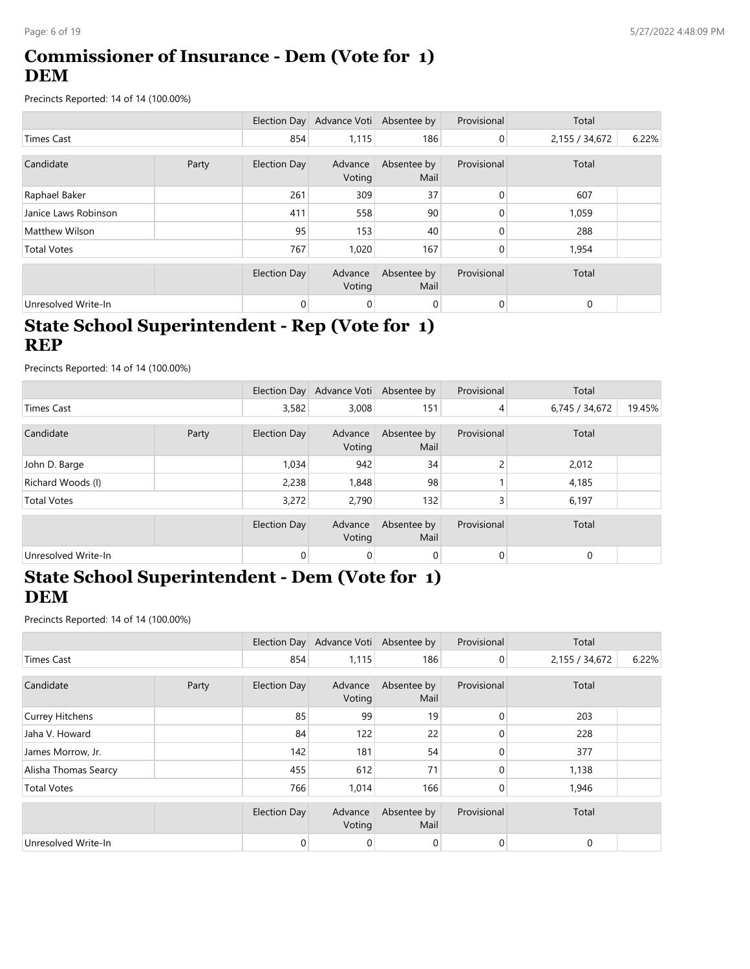# **Commissioner of Insurance - Dem (Vote for 1) DEM**

Precincts Reported: 14 of 14 (100.00%)

|                       |       |              | Election Day Advance Voti Absentee by |                     | Provisional    | Total          |       |
|-----------------------|-------|--------------|---------------------------------------|---------------------|----------------|----------------|-------|
| Times Cast            |       | 854          | 1,115                                 | 186                 | $\overline{0}$ | 2,155 / 34,672 | 6.22% |
| Candidate             | Party | Election Day | Advance<br>Voting                     | Absentee by<br>Mail | Provisional    | Total          |       |
| Raphael Baker         |       | 261          | 309                                   | 37                  | 0              | 607            |       |
| Janice Laws Robinson  |       | 411          | 558                                   | 90                  | 0              | 1,059          |       |
| <b>Matthew Wilson</b> |       | 95           | 153                                   | 40                  | 0              | 288            |       |
| <b>Total Votes</b>    |       | 767          | 1,020                                 | 167                 | $\overline{0}$ | 1,954          |       |
|                       |       | Election Day | Advance<br>Voting                     | Absentee by<br>Mail | Provisional    | Total          |       |
| Unresolved Write-In   |       | 0            | 0                                     | 0                   | 0              | 0              |       |

# **State School Superintendent - Rep (Vote for 1) REP**

Precincts Reported: 14 of 14 (100.00%)

|                     |       |                | Election Day Advance Voti Absentee by |                     | Provisional | Total          |        |
|---------------------|-------|----------------|---------------------------------------|---------------------|-------------|----------------|--------|
| Times Cast          |       | 3,582          | 3,008                                 | 151                 | 4           | 6,745 / 34,672 | 19.45% |
| Candidate           | Party | Election Day   | Advance<br>Voting                     | Absentee by<br>Mail | Provisional | Total          |        |
| John D. Barge       |       | 1,034          | 942                                   | 34                  | 2           | 2,012          |        |
| Richard Woods (I)   |       | 2,238          | 1,848                                 | 98                  |             | 4,185          |        |
| <b>Total Votes</b>  |       | 3,272          | 2,790                                 | 132                 | 3           | 6,197          |        |
|                     |       | Election Day   | Advance<br>Voting                     | Absentee by<br>Mail | Provisional | Total          |        |
| Unresolved Write-In |       | $\overline{0}$ | 0                                     | $\overline{0}$      | $\mathbf 0$ | $\mathbf 0$    |        |

## **State School Superintendent - Dem (Vote for 1) DEM**

|                      |       |              | Election Day Advance Voti Absentee by |                     | Provisional    | Total          |       |
|----------------------|-------|--------------|---------------------------------------|---------------------|----------------|----------------|-------|
| <b>Times Cast</b>    |       | 854          | 1,115                                 | 186                 | $\overline{0}$ | 2,155 / 34,672 | 6.22% |
| Candidate            | Party | Election Day | Advance<br>Voting                     | Absentee by<br>Mail | Provisional    | Total          |       |
| Currey Hitchens      |       | 85           | 99                                    | 19                  | $\overline{0}$ | 203            |       |
| Jaha V. Howard       |       | 84           | 122                                   | 22                  | 0              | 228            |       |
| James Morrow, Jr.    |       | 142          | 181                                   | 54                  | 0              | 377            |       |
| Alisha Thomas Searcy |       | 455          | 612                                   | 71                  | 0              | 1,138          |       |
| <b>Total Votes</b>   |       | 766          | 1,014                                 | 166                 | $\overline{0}$ | 1,946          |       |
|                      |       | Election Day | Advance<br>Voting                     | Absentee by<br>Mail | Provisional    | Total          |       |
| Unresolved Write-In  |       | $\mathbf{0}$ | 0                                     | $\overline{0}$      | $\overline{0}$ | 0              |       |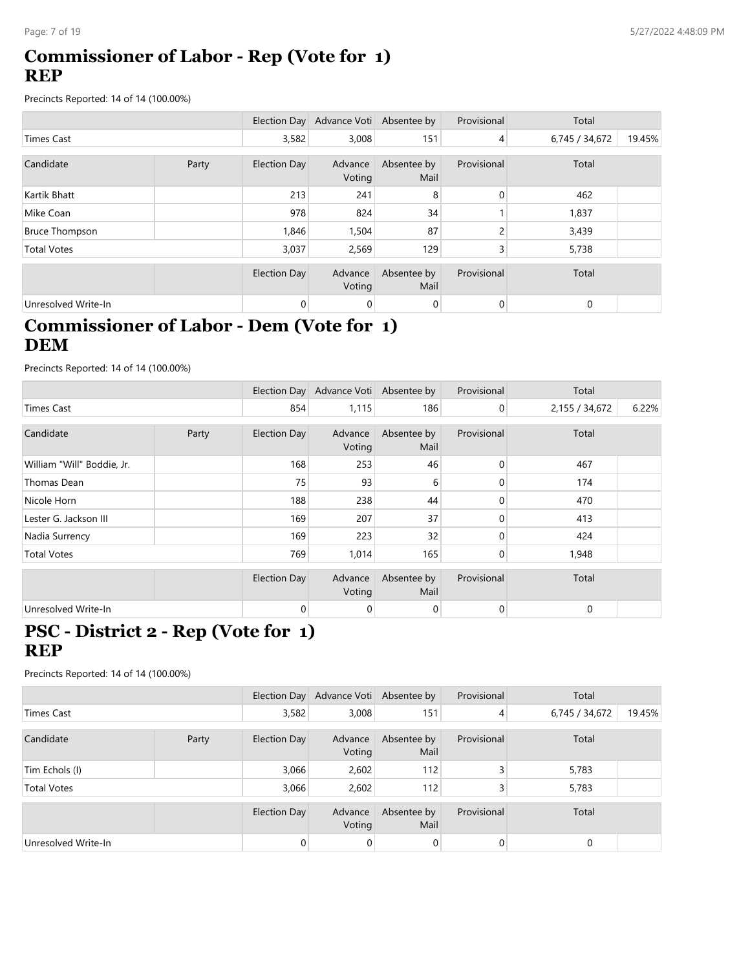## **Commissioner of Labor - Rep (Vote for 1) REP**

Precincts Reported: 14 of 14 (100.00%)

|                       |       |              | Election Day Advance Voti Absentee by |                     | Provisional    | Total          |        |
|-----------------------|-------|--------------|---------------------------------------|---------------------|----------------|----------------|--------|
| Times Cast            |       | 3,582        | 3,008                                 | 151                 | $\overline{4}$ | 6,745 / 34,672 | 19.45% |
| Candidate             | Party | Election Day | Advance<br>Voting                     | Absentee by<br>Mail | Provisional    | Total          |        |
| Kartik Bhatt          |       | 213          | 241                                   | 8                   | 0              | 462            |        |
| Mike Coan             |       | 978          | 824                                   | 34                  |                | 1,837          |        |
| <b>Bruce Thompson</b> |       | 1,846        | 1,504                                 | 87                  | 2              | 3,439          |        |
| <b>Total Votes</b>    |       | 3,037        | 2,569                                 | 129                 | 3              | 5,738          |        |
|                       |       | Election Day | Advance<br>Voting                     | Absentee by<br>Mail | Provisional    | Total          |        |
| Unresolved Write-In   |       | 0            | 0                                     | 0                   | 0              | 0              |        |

# **Commissioner of Labor - Dem (Vote for 1) DEM**

Precincts Reported: 14 of 14 (100.00%)

|                            |       |                     | Election Day Advance Voti Absentee by |                     | Provisional    | Total          |       |
|----------------------------|-------|---------------------|---------------------------------------|---------------------|----------------|----------------|-------|
| Times Cast                 |       | 854                 | 1,115                                 | 186                 | $\overline{0}$ | 2,155 / 34,672 | 6.22% |
| Candidate                  | Party | <b>Election Day</b> | Advance<br>Voting                     | Absentee by<br>Mail | Provisional    | Total          |       |
| William "Will" Boddie, Jr. |       | 168                 | 253                                   | 46                  | 0              | 467            |       |
| Thomas Dean                |       | 75                  | 93                                    | 6                   | 0              | 174            |       |
| Nicole Horn                |       | 188                 | 238                                   | 44                  | 0              | 470            |       |
| Lester G. Jackson III      |       | 169                 | 207                                   | 37                  | $\Omega$       | 413            |       |
| Nadia Surrency             |       | 169                 | 223                                   | 32                  | $\Omega$       | 424            |       |
| <b>Total Votes</b>         |       | 769                 | 1,014                                 | 165                 | 0              | 1,948          |       |
|                            |       | <b>Election Day</b> | Advance<br>Voting                     | Absentee by<br>Mail | Provisional    | Total          |       |
| Unresolved Write-In        |       | 0                   | 0                                     | $\mathbf 0$         | 0              | $\mathbf 0$    |       |

## **PSC - District 2 - Rep (Vote for 1) REP**

|                     |       |                | Election Day Advance Voti Absentee by |                     | Provisional    | Total          |        |
|---------------------|-------|----------------|---------------------------------------|---------------------|----------------|----------------|--------|
| <b>Times Cast</b>   |       | 3,582          | 3,008                                 | 151                 | 4              | 6,745 / 34,672 | 19.45% |
| Candidate           | Party | Election Day   | Advance<br>Voting                     | Absentee by<br>Mail | Provisional    | Total          |        |
| Tim Echols (I)      |       | 3,066          | 2,602                                 | 112                 | 3              | 5,783          |        |
| <b>Total Votes</b>  |       | 3,066          | 2,602                                 | 112                 | $\overline{3}$ | 5,783          |        |
|                     |       | Election Day   | Advance<br>Voting                     | Absentee by<br>Mail | Provisional    | Total          |        |
| Unresolved Write-In |       | $\overline{0}$ | 0                                     | $\overline{0}$      | 0              | $\Omega$       |        |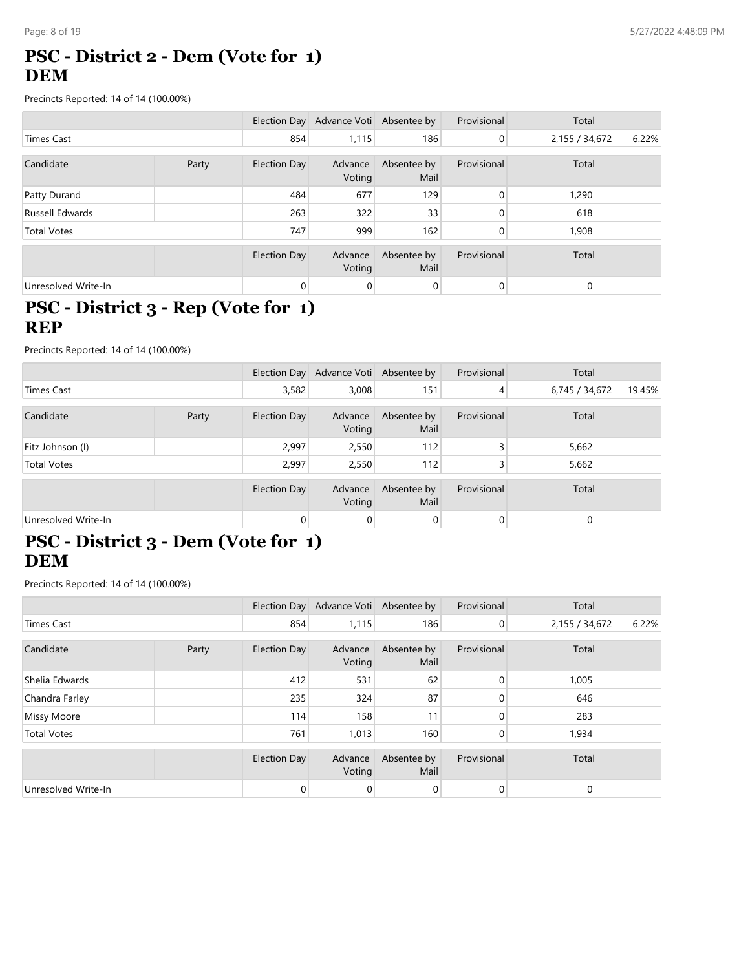# **PSC - District 2 - Dem (Vote for 1) DEM**

Precincts Reported: 14 of 14 (100.00%)

|                     |       |                     | Election Day Advance Voti Absentee by |                     | Provisional    | Total          |       |
|---------------------|-------|---------------------|---------------------------------------|---------------------|----------------|----------------|-------|
| Times Cast          |       | 854                 | 1,115                                 | 186                 | $\overline{0}$ | 2,155 / 34,672 | 6.22% |
| Candidate           | Party | <b>Election Day</b> | Advance<br>Voting                     | Absentee by<br>Mail | Provisional    | Total          |       |
| Patty Durand        |       | 484                 | 677                                   | 129                 | $\mathbf{0}$   | 1,290          |       |
| Russell Edwards     |       | 263                 | 322                                   | 33                  | $\Omega$       | 618            |       |
| <b>Total Votes</b>  |       | 747                 | 999                                   | 162                 | 0              | 1,908          |       |
|                     |       | Election Day        | Advance<br>Voting                     | Absentee by<br>Mail | Provisional    | Total          |       |
| Unresolved Write-In |       | 0                   | 0                                     | $\overline{0}$      | $\mathbf 0$    | 0              |       |

#### **PSC - District 3 - Rep (Vote for 1) REP**

Precincts Reported: 14 of 14 (100.00%)

|                     |  |              | Election Day Advance Voti Absentee by |                     | Provisional | Total          |        |
|---------------------|--|--------------|---------------------------------------|---------------------|-------------|----------------|--------|
| Times Cast          |  | 3,582        | 3,008                                 | 151                 | 4           | 6,745 / 34,672 | 19.45% |
| Candidate<br>Party  |  | Election Day | Advance<br>Voting                     | Absentee by<br>Mail | Provisional | Total          |        |
| Fitz Johnson (I)    |  | 2,997        | 2,550                                 | 112                 | 3           | 5,662          |        |
| <b>Total Votes</b>  |  | 2,997        | 2,550                                 | 112                 | 3           | 5,662          |        |
|                     |  | Election Day | Advance<br>Voting                     | Absentee by<br>Mail | Provisional | Total          |        |
| Unresolved Write-In |  | 0            | 0                                     | 0                   | 0           | $\mathbf 0$    |        |

# **PSC - District 3 - Dem (Vote for 1) DEM**

|                     |  |              | Election Day Advance Voti Absentee by |                     | Provisional    | Total          |       |
|---------------------|--|--------------|---------------------------------------|---------------------|----------------|----------------|-------|
| <b>Times Cast</b>   |  | 854          | 1,115                                 | 186                 | $\overline{0}$ | 2,155 / 34,672 | 6.22% |
| Candidate<br>Party  |  | Election Day | Advance<br>Voting                     | Absentee by<br>Mail | Provisional    | Total          |       |
| Shelia Edwards      |  | 412          | 531                                   | 62                  | $\mathbf{0}$   | 1,005          |       |
| Chandra Farley      |  | 235          | 324                                   | 87                  | $\mathbf{0}$   | 646            |       |
| <b>Missy Moore</b>  |  | 114          | 158                                   | 11                  | $\Omega$       | 283            |       |
| <b>Total Votes</b>  |  | 761          | 1,013                                 | 160                 | 0              | 1,934          |       |
|                     |  | Election Day | Advance<br>Voting                     | Absentee by<br>Mail | Provisional    | Total          |       |
| Unresolved Write-In |  | 0            | 0                                     | $\overline{0}$      | $\mathbf 0$    | 0              |       |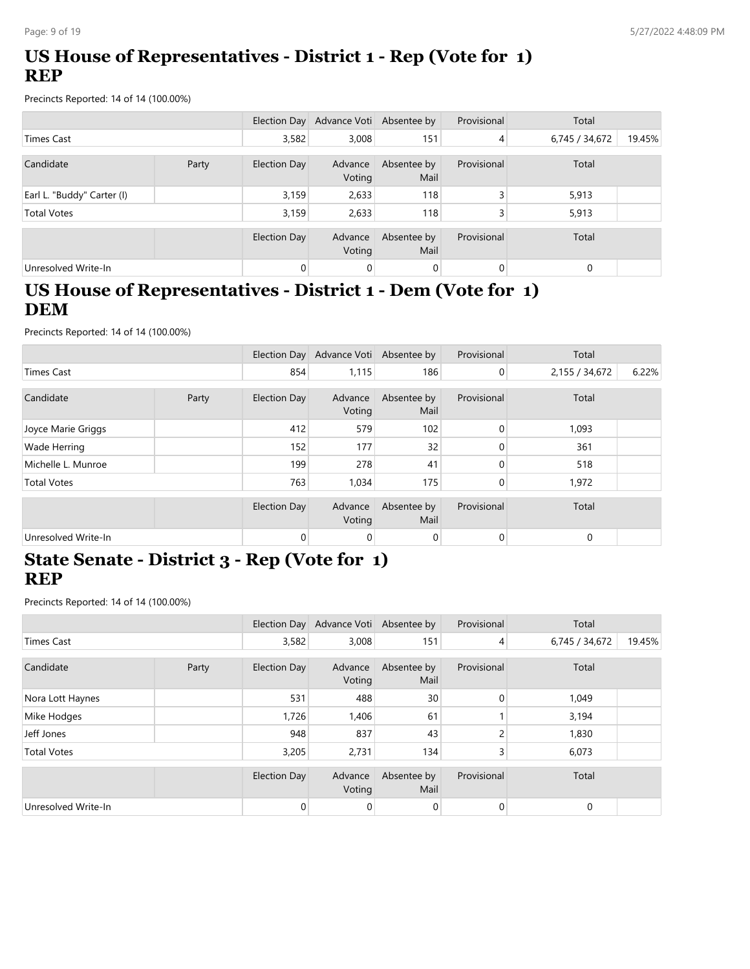# **US House of Representatives - District 1 - Rep (Vote for 1) REP**

Precincts Reported: 14 of 14 (100.00%)

|                            |  |              | Election Day Advance Voti Absentee by |                     | Provisional | Total          |        |
|----------------------------|--|--------------|---------------------------------------|---------------------|-------------|----------------|--------|
| <b>Times Cast</b>          |  | 3,582        | 3,008                                 | 151                 | 4           | 6,745 / 34,672 | 19.45% |
| Candidate<br>Party         |  | Election Day | Advance<br>Voting                     | Absentee by<br>Mail | Provisional | Total          |        |
| Earl L. "Buddy" Carter (I) |  | 3,159        | 2,633                                 | 118                 | 3           | 5,913          |        |
| <b>Total Votes</b>         |  | 3,159        | 2,633                                 | 118                 | 3           | 5,913          |        |
|                            |  | Election Day | Advance<br>Voting                     | Absentee by<br>Mail | Provisional | Total          |        |
| Unresolved Write-In        |  | 0            | 0                                     | $\mathbf 0$         | $\Omega$    | $\Omega$       |        |

# **US House of Representatives - District 1 - Dem (Vote for 1) DEM**

Precincts Reported: 14 of 14 (100.00%)

|                     |       |              | Election Day Advance Voti Absentee by |                     | Provisional | Total          |       |
|---------------------|-------|--------------|---------------------------------------|---------------------|-------------|----------------|-------|
| <b>Times Cast</b>   |       | 854          | 1,115                                 | 186                 | 0           | 2,155 / 34,672 | 6.22% |
| Candidate           | Party | Election Day | Advance<br>Voting                     | Absentee by<br>Mail | Provisional | Total          |       |
| Joyce Marie Griggs  |       | 412          | 579                                   | 102                 | $\mathbf 0$ | 1,093          |       |
| <b>Wade Herring</b> |       | 152          | 177                                   | 32                  | 0           | 361            |       |
| Michelle L. Munroe  |       | 199          | 278                                   | 41                  | $\Omega$    | 518            |       |
| <b>Total Votes</b>  |       | 763          | 1,034                                 | 175                 | 0           | 1,972          |       |
|                     |       | Election Day | Advance<br>Voting                     | Absentee by<br>Mail | Provisional | Total          |       |
| Unresolved Write-In |       | 0            | $\mathbf 0$                           | $\mathbf 0$         | 0           | 0              |       |

#### **State Senate - District 3 - Rep (Vote for 1) REP**

|                     |       |                     | Election Day Advance Voti Absentee by |                     | Provisional    | Total          |        |
|---------------------|-------|---------------------|---------------------------------------|---------------------|----------------|----------------|--------|
| <b>Times Cast</b>   |       | 3,582               | 3,008                                 | 151                 | $\overline{4}$ | 6,745 / 34,672 | 19.45% |
| Candidate           | Party | <b>Election Day</b> | Advance<br>Voting                     | Absentee by<br>Mail | Provisional    | Total          |        |
| Nora Lott Haynes    |       | 531                 | 488                                   | 30                  | 0              | 1,049          |        |
| Mike Hodges         |       | 1,726               | 1,406                                 | 61                  |                | 3,194          |        |
| Jeff Jones          |       | 948                 | 837                                   | 43                  | 2              | 1,830          |        |
| <b>Total Votes</b>  |       | 3,205               | 2,731                                 | 134                 | 3              | 6,073          |        |
|                     |       | <b>Election Day</b> | Advance<br>Voting                     | Absentee by<br>Mail | Provisional    | Total          |        |
| Unresolved Write-In |       | 0                   | $\mathbf 0$                           | $\mathbf 0$         | 0              | $\mathbf 0$    |        |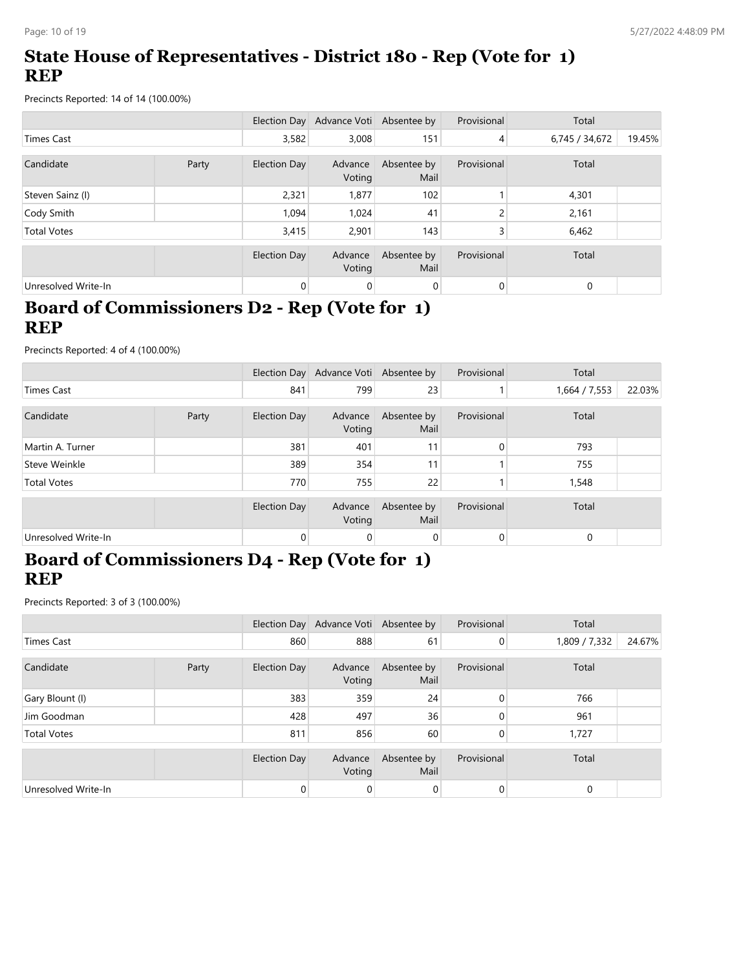# **State House of Representatives - District 180 - Rep (Vote for 1) REP**

Precincts Reported: 14 of 14 (100.00%)

|                     |       |                     | Election Day Advance Voti Absentee by |                     | Provisional | Total          |        |
|---------------------|-------|---------------------|---------------------------------------|---------------------|-------------|----------------|--------|
| Times Cast          |       | 3,582               | 3,008                                 | 151                 | 4           | 6,745 / 34,672 | 19.45% |
| Candidate           | Party | Election Day        | Advance<br>Voting                     | Absentee by<br>Mail | Provisional | Total          |        |
| Steven Sainz (I)    |       | 2,321               | 1,877                                 | 102                 |             | 4,301          |        |
| Cody Smith          |       | 1,094               | 1,024                                 | 41                  | ∍           | 2,161          |        |
| <b>Total Votes</b>  |       | 3,415               | 2.901                                 | 143                 | 3           | 6,462          |        |
|                     |       | <b>Election Day</b> | Advance<br>Voting                     | Absentee by<br>Mail | Provisional | Total          |        |
| Unresolved Write-In |       | 0                   | 0                                     | 0                   | 0           | 0              |        |

## **Board of Commissioners D2 - Rep (Vote for 1) REP**

Precincts Reported: 4 of 4 (100.00%)

|                     |       |                     | Election Day Advance Voti Absentee by |                     | Provisional | Total         |        |
|---------------------|-------|---------------------|---------------------------------------|---------------------|-------------|---------------|--------|
| <b>Times Cast</b>   |       | 841                 | 799                                   | 23                  |             | 1,664 / 7,553 | 22.03% |
| Candidate           | Party | Election Day        | Advance<br>Voting                     | Absentee by<br>Mail | Provisional | Total         |        |
| Martin A. Turner    |       | 381                 | 401                                   | 11                  | $\Omega$    | 793           |        |
| Steve Weinkle       |       | 389                 | 354                                   | 11                  |             | 755           |        |
| <b>Total Votes</b>  |       | 770                 | 755                                   | 22                  |             | 1,548         |        |
|                     |       | <b>Election Day</b> | Advance<br>Voting                     | Absentee by<br>Mail | Provisional | Total         |        |
| Unresolved Write-In |       | $\mathbf 0$         | 0                                     | 0                   | 0           | 0             |        |

#### **Board of Commissioners D4 - Rep (Vote for 1) REP**

|                     |       |              | Election Day Advance Voti Absentee by |                     | Provisional    | Total         |        |
|---------------------|-------|--------------|---------------------------------------|---------------------|----------------|---------------|--------|
| <b>Times Cast</b>   |       | 860          | 888                                   | 61                  | $\overline{0}$ | 1,809 / 7,332 | 24.67% |
| Candidate           | Party | Election Day | Advance<br>Voting                     | Absentee by<br>Mail | Provisional    | Total         |        |
| Gary Blount (I)     |       | 383          | 359                                   | 24                  | $\mathbf{0}$   | 766           |        |
| Jim Goodman         |       | 428          | 497                                   | 36                  | 0              | 961           |        |
| <b>Total Votes</b>  |       | 811          | 856                                   | 60                  | 0              | 1,727         |        |
|                     |       | Election Day | Advance<br>Voting                     | Absentee by<br>Mail | Provisional    | Total         |        |
| Unresolved Write-In |       | 0            | 0                                     | 0                   | 0              | 0             |        |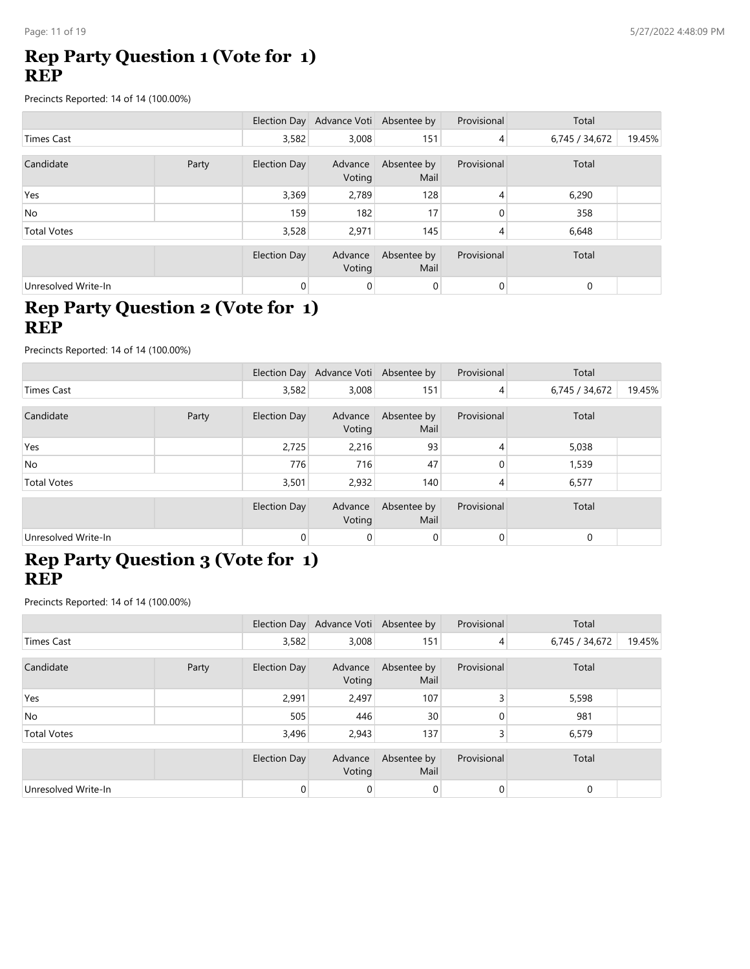# **Rep Party Question 1 (Vote for 1) REP**

Precincts Reported: 14 of 14 (100.00%)

|                     |       |              | Election Day Advance Voti Absentee by |                     | Provisional    | Total          |        |
|---------------------|-------|--------------|---------------------------------------|---------------------|----------------|----------------|--------|
| Times Cast          |       | 3,582        | 3,008                                 | 151                 | 4              | 6,745 / 34,672 | 19.45% |
| Candidate           | Party | Election Day | Advance<br>Voting                     | Absentee by<br>Mail | Provisional    | Total          |        |
| Yes                 |       | 3,369        | 2,789                                 | 128                 | 4              | 6,290          |        |
| No.                 |       | 159          | 182                                   | 17                  | $\Omega$       | 358            |        |
| <b>Total Votes</b>  |       | 3,528        | 2,971                                 | 145                 | 4              | 6,648          |        |
|                     |       | Election Day | Advance<br>Voting                     | Absentee by<br>Mail | Provisional    | Total          |        |
| Unresolved Write-In |       | 0            | 0                                     | 0                   | $\overline{0}$ | $\mathbf 0$    |        |

## **Rep Party Question 2 (Vote for 1) REP**

Precincts Reported: 14 of 14 (100.00%)

|                     |       |                | Election Day Advance Voti Absentee by |                     | Provisional | Total          |        |
|---------------------|-------|----------------|---------------------------------------|---------------------|-------------|----------------|--------|
| <b>Times Cast</b>   |       | 3,582          | 3,008                                 | 151                 | 4           | 6,745 / 34,672 | 19.45% |
| Candidate           | Party | Election Day   | Advance<br>Voting                     | Absentee by<br>Mail | Provisional | Total          |        |
| Yes                 |       | 2,725          | 2,216                                 | 93                  | 4           | 5,038          |        |
| <b>No</b>           |       | 776            | 716                                   | 47                  | 0           | 1,539          |        |
| <b>Total Votes</b>  |       | 3,501          | 2,932                                 | 140                 | 4           | 6,577          |        |
|                     |       | Election Day   | Advance<br>Voting                     | Absentee by<br>Mail | Provisional | Total          |        |
| Unresolved Write-In |       | $\overline{0}$ | 0                                     | $\overline{0}$      | $\mathbf 0$ | $\Omega$       |        |

#### **Rep Party Question 3 (Vote for 1) REP**

|                     |       |                     | Election Day Advance Voti Absentee by |                     | Provisional    | Total          |        |
|---------------------|-------|---------------------|---------------------------------------|---------------------|----------------|----------------|--------|
| <b>Times Cast</b>   |       | 3,582               | 3,008                                 | 151                 | $\overline{4}$ | 6,745 / 34,672 | 19.45% |
| Candidate           | Party | <b>Election Day</b> | Advance<br>Voting                     | Absentee by<br>Mail | Provisional    | Total          |        |
| Yes                 |       | 2,991               | 2,497                                 | 107                 | 3              | 5,598          |        |
| No.                 |       | 505                 | 446                                   | 30                  | 0              | 981            |        |
| <b>Total Votes</b>  |       | 3,496               | 2,943                                 | 137                 | 3              | 6,579          |        |
|                     |       | Election Day        | Advance<br>Voting                     | Absentee by<br>Mail | Provisional    | Total          |        |
| Unresolved Write-In |       | 0                   | 0                                     | 0                   | $\overline{0}$ | $\mathbf 0$    |        |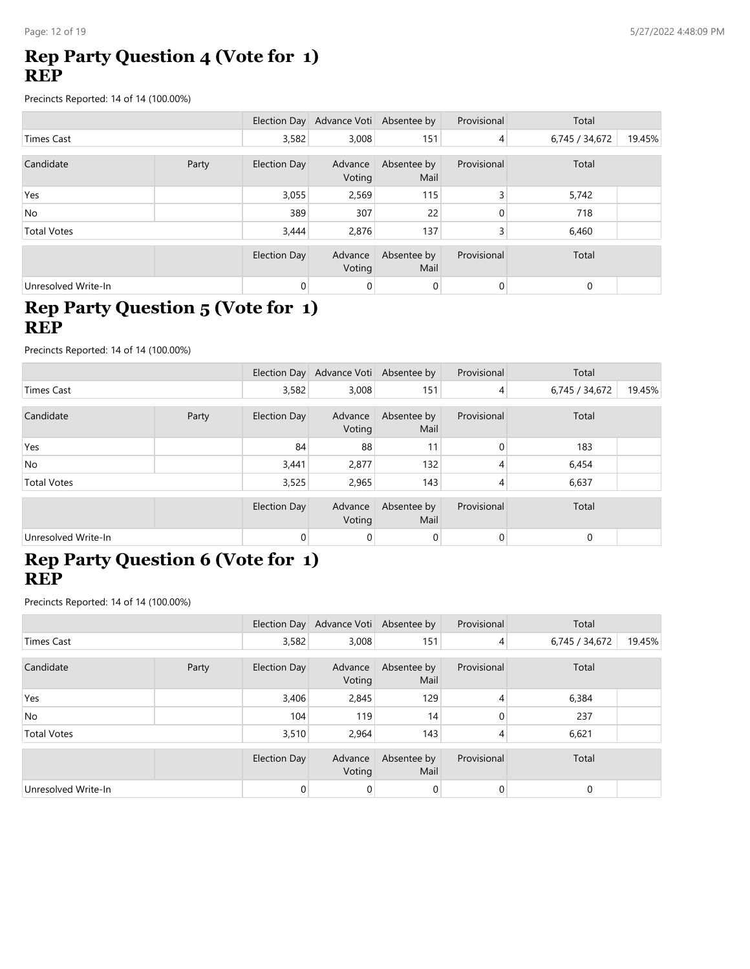# **Rep Party Question 4 (Vote for 1) REP**

Precincts Reported: 14 of 14 (100.00%)

|                     |       |              | Election Day Advance Voti Absentee by |                     | Provisional    | Total          |        |
|---------------------|-------|--------------|---------------------------------------|---------------------|----------------|----------------|--------|
| Times Cast          |       | 3,582        | 3,008                                 | 151                 | 4              | 6,745 / 34,672 | 19.45% |
| Candidate           | Party | Election Day | Advance<br>Voting                     | Absentee by<br>Mail | Provisional    | Total          |        |
| Yes                 |       | 3,055        | 2,569                                 | 115                 | 3              | 5,742          |        |
| No                  |       | 389          | 307                                   | 22                  | 0              | 718            |        |
| <b>Total Votes</b>  |       | 3,444        | 2,876                                 | 137                 | 3              | 6,460          |        |
|                     |       | Election Day | Advance<br>Voting                     | Absentee by<br>Mail | Provisional    | Total          |        |
| Unresolved Write-In |       | 0            | 0                                     | 0                   | $\overline{0}$ | $\mathbf 0$    |        |

# **Rep Party Question 5 (Vote for 1) REP**

Precincts Reported: 14 of 14 (100.00%)

|                     |       |                | Election Day Advance Voti Absentee by |                     | Provisional | Total          |        |
|---------------------|-------|----------------|---------------------------------------|---------------------|-------------|----------------|--------|
| Times Cast          |       | 3,582          | 3,008                                 | 151                 | 4           | 6,745 / 34,672 | 19.45% |
| Candidate           | Party | Election Day   | Advance<br>Voting                     | Absentee by<br>Mail | Provisional | Total          |        |
| Yes                 |       | 84             | 88                                    | 11                  | 0           | 183            |        |
| N <sub>o</sub>      |       | 3,441          | 2,877                                 | 132                 | 4           | 6,454          |        |
| <b>Total Votes</b>  |       | 3,525          | 2,965                                 | 143                 | 4           | 6,637          |        |
|                     |       | Election Day   | Advance<br>Voting                     | Absentee by<br>Mail | Provisional | Total          |        |
| Unresolved Write-In |       | $\overline{0}$ | 0                                     | $\mathbf 0$         | 0           | $\mathbf 0$    |        |

#### **Rep Party Question 6 (Vote for 1) REP**

|                     |       |                | Election Day Advance Voti Absentee by |                     | Provisional    | Total          |        |
|---------------------|-------|----------------|---------------------------------------|---------------------|----------------|----------------|--------|
| Times Cast          |       | 3,582          | 3,008                                 | 151                 | $\overline{4}$ | 6,745 / 34,672 | 19.45% |
| Candidate           | Party | Election Day   | Advance<br>Voting                     | Absentee by<br>Mail | Provisional    | Total          |        |
| Yes                 |       | 3,406          | 2,845                                 | 129                 | 4              | 6,384          |        |
| No                  |       | 104            | 119                                   | 14                  | 0              | 237            |        |
| <b>Total Votes</b>  |       | 3,510          | 2,964                                 | 143                 | 4              | 6,621          |        |
|                     |       | Election Day   | Advance<br>Voting                     | Absentee by<br>Mail | Provisional    | Total          |        |
| Unresolved Write-In |       | $\overline{0}$ | 0                                     | 0                   | 0              | $\mathbf 0$    |        |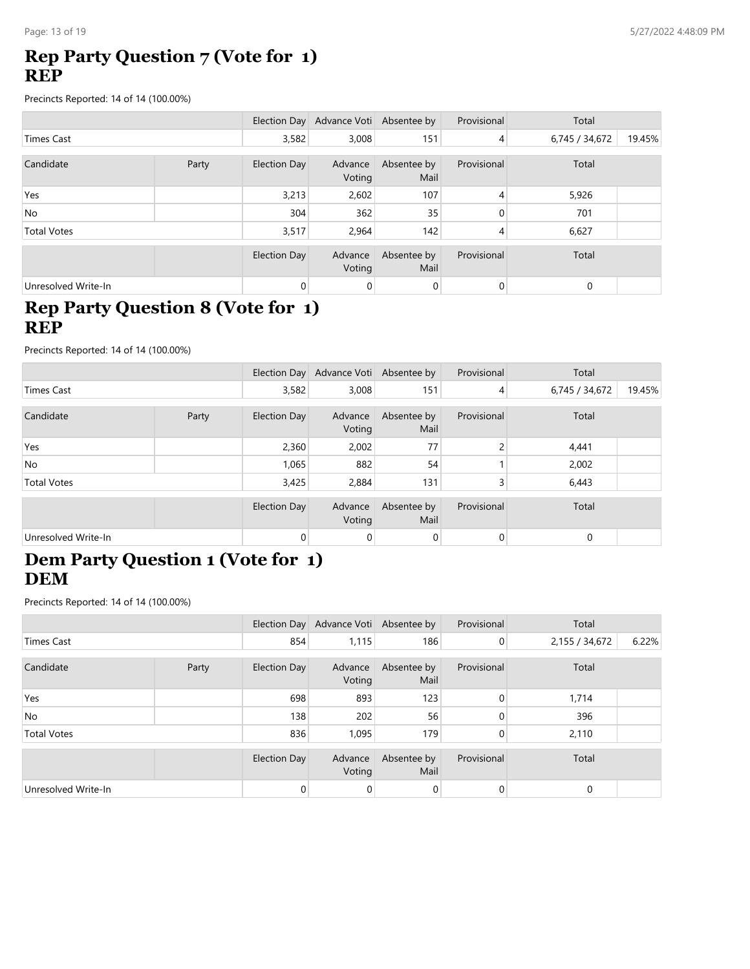# **Rep Party Question 7 (Vote for 1) REP**

Precincts Reported: 14 of 14 (100.00%)

|                     |       |              | Election Day Advance Voti Absentee by |                     | Provisional    | Total          |        |
|---------------------|-------|--------------|---------------------------------------|---------------------|----------------|----------------|--------|
| Times Cast          |       |              | 3,008                                 | 151                 | 4              | 6,745 / 34,672 | 19.45% |
| Candidate           | Party | Election Day | Advance<br>Voting                     | Absentee by<br>Mail | Provisional    | Total          |        |
| Yes                 |       | 3,213        | 2,602                                 | 107                 | 4              | 5,926          |        |
| No                  |       | 304          | 362                                   | 35                  | 0              | 701            |        |
| <b>Total Votes</b>  |       | 3,517        | 2,964                                 | 142                 | 4              | 6,627          |        |
|                     |       | Election Day | Advance<br>Voting                     | Absentee by<br>Mail | Provisional    | Total          |        |
| Unresolved Write-In |       | 0            | 0                                     | 0                   | $\overline{0}$ | $\mathbf 0$    |        |

# **Rep Party Question 8 (Vote for 1) REP**

Precincts Reported: 14 of 14 (100.00%)

|                     |       |                | Election Day Advance Voti Absentee by |                     | Provisional    | Total          |        |
|---------------------|-------|----------------|---------------------------------------|---------------------|----------------|----------------|--------|
| <b>Times Cast</b>   |       | 3,582          | 3,008                                 | 151                 | $\overline{4}$ | 6,745 / 34,672 | 19.45% |
| Candidate           | Party | Election Day   | Advance<br>Voting                     | Absentee by<br>Mail | Provisional    | Total          |        |
| Yes                 |       | 2,360          | 2,002                                 | 77                  | 2              | 4,441          |        |
| <b>No</b>           |       | 1,065          | 882                                   | 54                  |                | 2,002          |        |
| <b>Total Votes</b>  |       | 3,425          | 2,884                                 | 131                 | 3              | 6,443          |        |
|                     |       | Election Day   | Advance<br>Voting                     | Absentee by<br>Mail | Provisional    | Total          |        |
| Unresolved Write-In |       | $\overline{0}$ | 0                                     | $\overline{0}$      | $\mathbf 0$    | $\mathbf 0$    |        |

#### **Dem Party Question 1 (Vote for 1) DEM**

|                     |       |              | Election Day Advance Voti Absentee by |                     | Provisional | Total          |       |
|---------------------|-------|--------------|---------------------------------------|---------------------|-------------|----------------|-------|
| Times Cast          |       | 854          | 1,115                                 | 186                 | 0           | 2,155 / 34,672 | 6.22% |
| Candidate           | Party | Election Day | Advance<br>Voting                     | Absentee by<br>Mail | Provisional | Total          |       |
| Yes                 |       | 698          | 893                                   | 123                 | 0           | 1,714          |       |
| No                  |       | 138          | 202                                   | 56                  |             | 396            |       |
| <b>Total Votes</b>  |       | 836          | 1,095                                 | 179                 | 0           | 2,110          |       |
|                     |       | Election Day | Advance<br>Voting                     | Absentee by<br>Mail | Provisional | Total          |       |
| Unresolved Write-In |       | 0            | 0                                     | 0                   | 0           | 0              |       |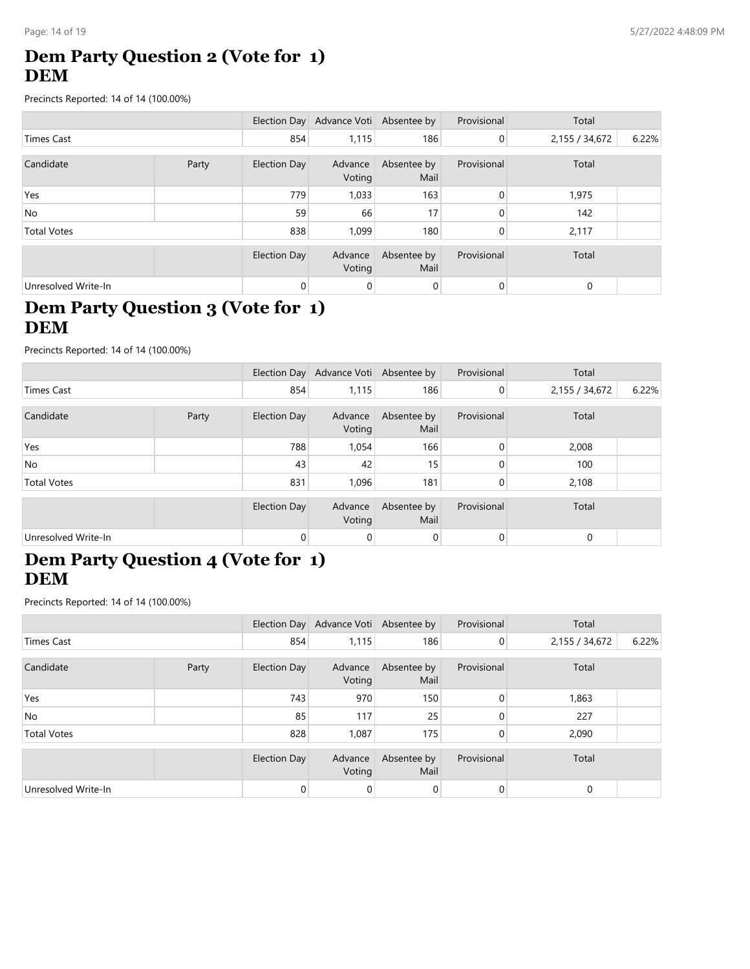# **Dem Party Question 2 (Vote for 1) DEM**

Precincts Reported: 14 of 14 (100.00%)

|                     |       |              | Election Day Advance Voti Absentee by |                     | Provisional    | Total          |       |
|---------------------|-------|--------------|---------------------------------------|---------------------|----------------|----------------|-------|
| Times Cast          |       | 854          | 1,115                                 | 186                 | $\overline{0}$ | 2,155 / 34,672 | 6.22% |
| Candidate           | Party | Election Day | Advance<br>Voting                     | Absentee by<br>Mail | Provisional    | Total          |       |
| Yes                 |       | 779          | 1,033                                 | 163                 | 0              | 1,975          |       |
| No                  |       | 59           | 66                                    | 17                  | 0              | 142            |       |
| <b>Total Votes</b>  |       | 838          | 1.099                                 | 180                 | 0              | 2,117          |       |
|                     |       | Election Day | Advance<br>Voting                     | Absentee by<br>Mail | Provisional    | Total          |       |
| Unresolved Write-In |       | 0            | $\overline{0}$                        | $\mathbf 0$         | $\overline{0}$ | $\mathbf 0$    |       |

# **Dem Party Question 3 (Vote for 1) DEM**

Precincts Reported: 14 of 14 (100.00%)

|                     |       |                     | Election Day Advance Voti Absentee by |                     | Provisional | Total          |       |
|---------------------|-------|---------------------|---------------------------------------|---------------------|-------------|----------------|-------|
| <b>Times Cast</b>   |       | 854                 | 1,115                                 | 186                 | 0           | 2,155 / 34,672 | 6.22% |
| Candidate           | Party | Election Day        | Advance<br>Voting                     | Absentee by<br>Mail | Provisional | Total          |       |
| Yes                 |       | 788                 | 1,054                                 | 166                 | $\Omega$    | 2,008          |       |
| <b>No</b>           |       | 43                  | 42                                    | 15                  |             | 100            |       |
| <b>Total Votes</b>  |       | 831                 | 1,096                                 | 181                 | 0           | 2,108          |       |
|                     |       | <b>Election Day</b> | Advance<br>Voting                     | Absentee by<br>Mail | Provisional | Total          |       |
| Unresolved Write-In |       | $\mathbf{0}$        | $\mathbf 0$                           | 0                   | 0           | $\mathbf 0$    |       |

#### **Dem Party Question 4 (Vote for 1) DEM**

|                     |       |              | Election Day Advance Voti Absentee by |                     | Provisional | Total          |       |
|---------------------|-------|--------------|---------------------------------------|---------------------|-------------|----------------|-------|
| Times Cast          |       | 854          | 1,115                                 | 186                 | 0           | 2,155 / 34,672 | 6.22% |
| Candidate           | Party | Election Day | Advance<br>Voting                     | Absentee by<br>Mail | Provisional | Total          |       |
| Yes                 |       | 743          | 970                                   | 150                 | 0           | 1,863          |       |
| No                  |       | 85           | 117                                   | 25                  |             | 227            |       |
| <b>Total Votes</b>  |       | 828          | 1,087                                 | 175                 | 0           | 2,090          |       |
|                     |       | Election Day | Advance<br>Voting                     | Absentee by<br>Mail | Provisional | Total          |       |
| Unresolved Write-In |       | 0            | 0                                     | 0                   | 0           | 0              |       |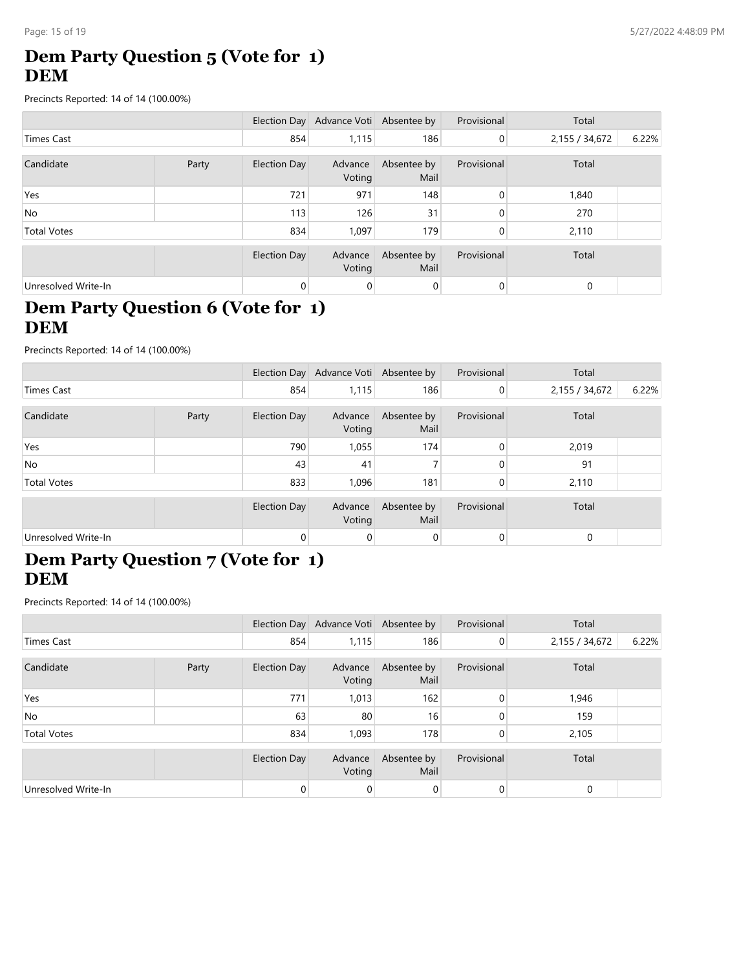# **Dem Party Question 5 (Vote for 1) DEM**

Precincts Reported: 14 of 14 (100.00%)

|                     |       |                     | Election Day Advance Voti Absentee by |                     | Provisional    | Total          |       |
|---------------------|-------|---------------------|---------------------------------------|---------------------|----------------|----------------|-------|
| Times Cast          |       |                     | 1,115                                 | 186                 | $\overline{0}$ | 2,155 / 34,672 | 6.22% |
| Candidate           | Party | Election Day        | Advance                               | Absentee by         | Provisional    | Total          |       |
|                     |       |                     | Voting                                | Mail                |                |                |       |
| Yes                 |       | 721                 | 971                                   | 148                 | 0              | 1,840          |       |
| No.                 |       | 113                 | 126                                   | 31                  | 0              | 270            |       |
| <b>Total Votes</b>  |       | 834                 | 1.097                                 | 179                 | 0              | 2,110          |       |
|                     |       | <b>Election Day</b> | Advance<br>Voting                     | Absentee by<br>Mail | Provisional    | Total          |       |
| Unresolved Write-In |       | 0                   | 0                                     | 0                   | 0              | 0              |       |

# **Dem Party Question 6 (Vote for 1) DEM**

Precincts Reported: 14 of 14 (100.00%)

|                     |       |                | Election Day Advance Voti Absentee by |                     | Provisional | Total          |       |
|---------------------|-------|----------------|---------------------------------------|---------------------|-------------|----------------|-------|
| <b>Times Cast</b>   |       | 854            | 1,115                                 | 186                 | 0           | 2,155 / 34,672 | 6.22% |
| Candidate           | Party | Election Day   | Advance<br>Voting                     | Absentee by<br>Mail | Provisional | Total          |       |
| Yes                 |       | 790            | 1,055                                 | 174                 | $\Omega$    | 2,019          |       |
| <b>No</b>           |       | 43             | 41                                    |                     | $\Omega$    | 91             |       |
| <b>Total Votes</b>  |       | 833            | 1.096                                 | 181                 | $\mathbf 0$ | 2,110          |       |
|                     |       | Election Day   | Advance<br>Voting                     | Absentee by<br>Mail | Provisional | Total          |       |
| Unresolved Write-In |       | $\overline{0}$ | 0                                     | $\overline{0}$      | 0           | $\Omega$       |       |

#### **Dem Party Question 7 (Vote for 1) DEM**

|                     |       |              | Election Day Advance Voti Absentee by |                     | Provisional | Total          |       |
|---------------------|-------|--------------|---------------------------------------|---------------------|-------------|----------------|-------|
| Times Cast          |       | 854          | 1,115                                 | 186                 | 0           | 2,155 / 34,672 | 6.22% |
| Candidate           | Party | Election Day | Advance<br>Voting                     | Absentee by<br>Mail | Provisional | Total          |       |
| Yes                 |       | 771          | 1,013                                 | 162                 | 0           | 1,946          |       |
| No                  |       | 63           | 80                                    | 16                  |             | 159            |       |
| <b>Total Votes</b>  |       | 834          | 1,093                                 | 178                 | 0           | 2,105          |       |
|                     |       | Election Day | Advance<br>Voting                     | Absentee by<br>Mail | Provisional | Total          |       |
| Unresolved Write-In |       | 0            | 0                                     | 0                   | 0           | 0              |       |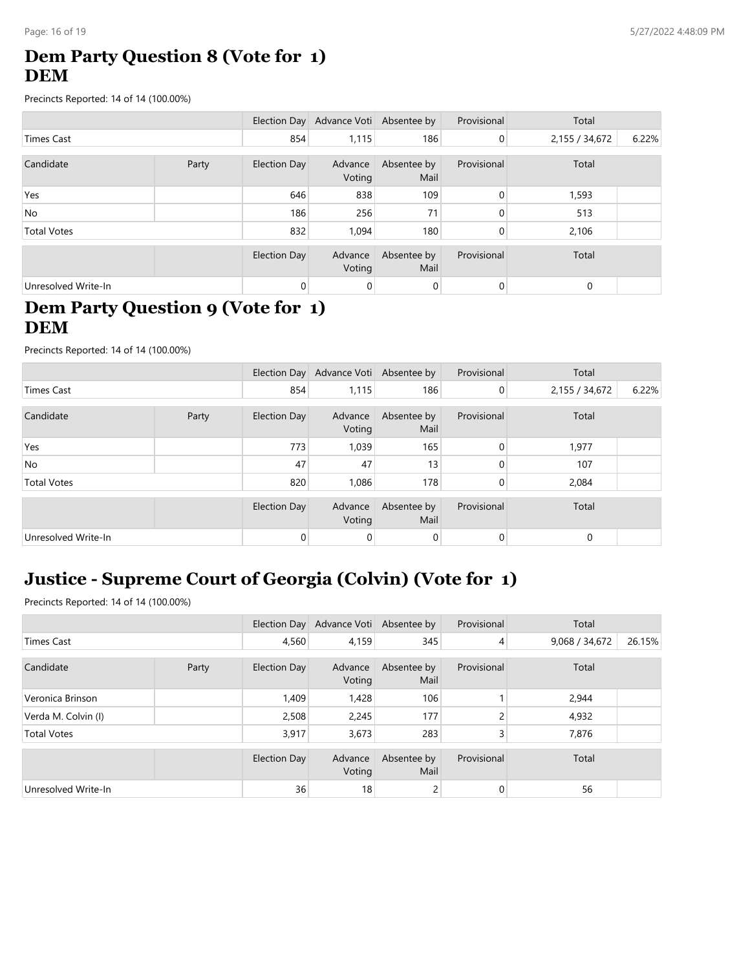# **Dem Party Question 8 (Vote for 1) DEM**

Precincts Reported: 14 of 14 (100.00%)

|                     |       |                     | Election Day Advance Voti Absentee by |                     | Provisional    | Total          |       |
|---------------------|-------|---------------------|---------------------------------------|---------------------|----------------|----------------|-------|
| Times Cast          |       |                     | 1,115                                 | 186                 | $\overline{0}$ | 2,155 / 34,672 | 6.22% |
| Candidate           | Party | Election Day        | Advance                               | Absentee by         | Provisional    | Total          |       |
|                     |       |                     | Voting                                | Mail                |                |                |       |
| Yes                 |       | 646                 | 838                                   | 109                 | 0              | 1,593          |       |
| <b>No</b>           |       | 186                 | 256                                   | 71                  | 0              | 513            |       |
| <b>Total Votes</b>  |       | 832                 | 1.094                                 | 180                 | 0              | 2,106          |       |
|                     |       | <b>Election Day</b> | Advance<br>Voting                     | Absentee by<br>Mail | Provisional    | Total          |       |
| Unresolved Write-In |       | 0                   | 0                                     | 0                   | 0              | 0              |       |

# **Dem Party Question 9 (Vote for 1) DEM**

Precincts Reported: 14 of 14 (100.00%)

|                     |       |              | Election Day Advance Voti Absentee by |                     | Provisional | Total          |       |
|---------------------|-------|--------------|---------------------------------------|---------------------|-------------|----------------|-------|
| Times Cast          |       | 854          | 1,115                                 | 186                 | 0           | 2,155 / 34,672 | 6.22% |
| Candidate           | Party | Election Day | Advance<br>Voting                     | Absentee by<br>Mail | Provisional | Total          |       |
| Yes                 |       | 773          | 1,039                                 | 165                 | $\Omega$    | 1,977          |       |
| <b>No</b>           |       | 47           | 47                                    | 13                  | 0           | 107            |       |
| <b>Total Votes</b>  |       | 820          | 1,086                                 | 178                 | 0           | 2,084          |       |
|                     |       | Election Day | Advance<br>Voting                     | Absentee by<br>Mail | Provisional | Total          |       |
| Unresolved Write-In |       | 0            | 0                                     | 0                   | 0           | $\mathbf 0$    |       |

# **Justice - Supreme Court of Georgia (Colvin) (Vote for 1)**

|                     |  |              | Election Day Advance Voti Absentee by |                     | Provisional    | Total          |        |
|---------------------|--|--------------|---------------------------------------|---------------------|----------------|----------------|--------|
| <b>Times Cast</b>   |  | 4,560        | 4,159                                 | 345                 | $\overline{4}$ | 9,068 / 34,672 | 26.15% |
| Candidate<br>Party  |  | Election Day | Advance<br>Voting                     | Absentee by<br>Mail | Provisional    | Total          |        |
| Veronica Brinson    |  | 1,409        | 1,428                                 | 106                 |                | 2,944          |        |
| Verda M. Colvin (I) |  | 2,508        | 2,245                                 | 177                 | C              | 4,932          |        |
| <b>Total Votes</b>  |  | 3,917        | 3,673                                 | 283                 | 3              | 7,876          |        |
|                     |  | Election Day | Advance<br>Voting                     | Absentee by<br>Mail | Provisional    | Total          |        |
| Unresolved Write-In |  | 36           | 18                                    | 2                   | 0              | 56             |        |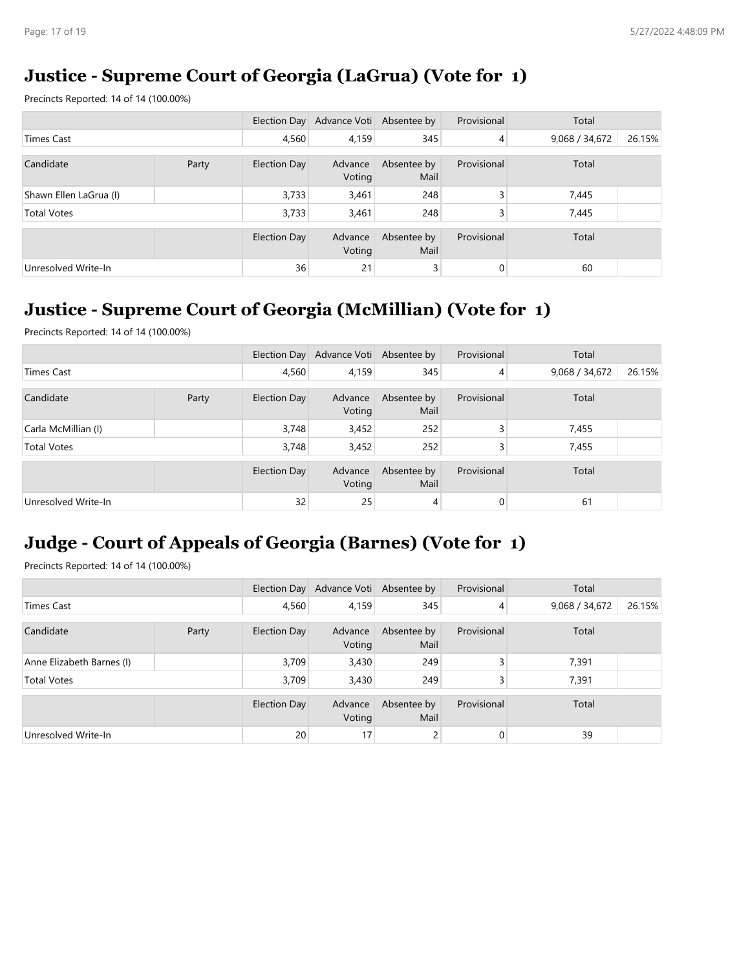# **Justice - Supreme Court of Georgia (LaGrua) (Vote for 1)**

Precincts Reported: 14 of 14 (100.00%)

|                        |  |              | Election Day Advance Voti Absentee by |                     | Provisional    | Total          |        |
|------------------------|--|--------------|---------------------------------------|---------------------|----------------|----------------|--------|
| Times Cast             |  | 4.560        | 4,159                                 | 345                 | 4              | 9,068 / 34,672 | 26.15% |
| Candidate<br>Party     |  | Election Day | Advance<br>Voting                     | Absentee by<br>Mail | Provisional    | Total          |        |
| Shawn Ellen LaGrua (I) |  | 3,733        | 3,461                                 | 248                 | 3              | 7,445          |        |
| <b>Total Votes</b>     |  | 3,733        | 3,461                                 | 248                 | 3              | 7,445          |        |
|                        |  | Election Day | Advance<br>Voting                     | Absentee by<br>Mail | Provisional    | Total          |        |
| Unresolved Write-In    |  | 36           | 21                                    | 3                   | $\overline{0}$ | 60             |        |

# **Justice - Supreme Court of Georgia (McMillian) (Vote for 1)**

Precincts Reported: 14 of 14 (100.00%)

|                     |  |              | Election Day Advance Voti Absentee by |                     | Provisional    | Total          |        |
|---------------------|--|--------------|---------------------------------------|---------------------|----------------|----------------|--------|
| Times Cast          |  | 4,560        | 4,159                                 | 345                 | $\overline{4}$ | 9,068 / 34,672 | 26.15% |
| Candidate<br>Party  |  | Election Day | Advance<br>Voting                     | Absentee by<br>Mail | Provisional    | Total          |        |
| Carla McMillian (I) |  | 3,748        | 3,452                                 | 252                 |                | 7,455          |        |
| <b>Total Votes</b>  |  | 3,748        | 3,452                                 | 252                 | 3              | 7,455          |        |
|                     |  | Election Day | Advance<br>Voting                     | Absentee by<br>Mail | Provisional    | Total          |        |
| Unresolved Write-In |  | 32           | 25                                    | 4                   | 0              | 61             |        |

# **Judge - Court of Appeals of Georgia (Barnes) (Vote for 1)**

|                           |  |              | Election Day Advance Voti Absentee by |                     | Provisional | Total          |        |
|---------------------------|--|--------------|---------------------------------------|---------------------|-------------|----------------|--------|
| Times Cast                |  | 4,560        | 4,159                                 | 345                 | 4           | 9,068 / 34,672 | 26.15% |
| Candidate<br>Party        |  | Election Day | Advance<br>Voting                     | Absentee by<br>Mail | Provisional | Total          |        |
| Anne Elizabeth Barnes (I) |  | 3,709        | 3,430                                 | 249                 | 3           | 7,391          |        |
| <b>Total Votes</b>        |  | 3.709        | 3,430                                 | 249                 | 3           | 7,391          |        |
|                           |  | Election Day | Advance<br>Voting                     | Absentee by<br>Mail | Provisional | Total          |        |
| Unresolved Write-In       |  | 20           | 17                                    | 2                   | 0           | 39             |        |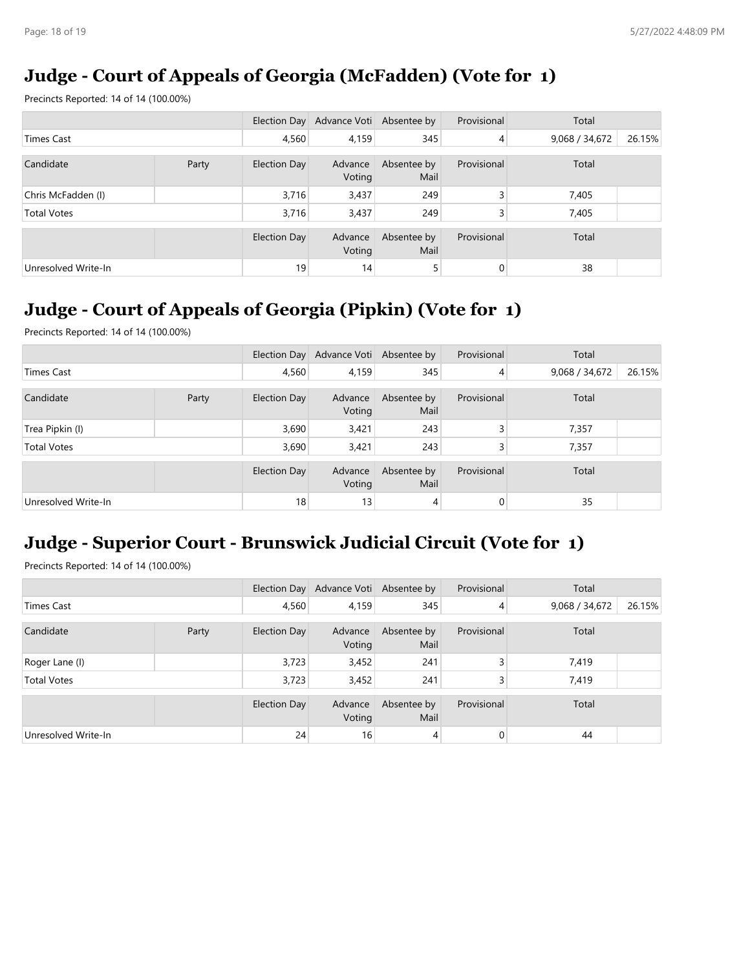# **Judge - Court of Appeals of Georgia (McFadden) (Vote for 1)**

Precincts Reported: 14 of 14 (100.00%)

|                     |  |              | Election Day Advance Voti Absentee by |                     | Provisional    | Total          |        |
|---------------------|--|--------------|---------------------------------------|---------------------|----------------|----------------|--------|
| Times Cast          |  | 4.560        | 4,159                                 | 345                 | $\overline{4}$ | 9,068 / 34,672 | 26.15% |
| Candidate<br>Party  |  | Election Day | Advance<br>Voting                     | Absentee by<br>Mail | Provisional    | Total          |        |
| Chris McFadden (I)  |  | 3,716        | 3,437                                 | 249                 | 3              | 7,405          |        |
| <b>Total Votes</b>  |  | 3,716        | 3,437                                 | 249                 | 3              | 7,405          |        |
|                     |  | Election Day | Advance<br>Voting                     | Absentee by<br>Mail | Provisional    | Total          |        |
| Unresolved Write-In |  | 19           | 14                                    | 5                   | 0              | 38             |        |

# **Judge - Court of Appeals of Georgia (Pipkin) (Vote for 1)**

Precincts Reported: 14 of 14 (100.00%)

|                     |       |              | Election Day Advance Voti Absentee by |                     | Provisional    | Total          |        |
|---------------------|-------|--------------|---------------------------------------|---------------------|----------------|----------------|--------|
| <b>Times Cast</b>   |       | 4,560        | 4,159                                 | 345                 | $\overline{4}$ | 9,068 / 34,672 | 26.15% |
| Candidate           | Party | Election Day | Advance<br>Voting                     | Absentee by<br>Mail | Provisional    | Total          |        |
| Trea Pipkin (I)     |       | 3,690        | 3,421                                 | 243                 | $\overline{3}$ | 7,357          |        |
| <b>Total Votes</b>  |       | 3,690        | 3,421                                 | 243                 | $\overline{3}$ | 7,357          |        |
|                     |       | Election Day | Advance<br>Voting                     | Absentee by<br>Mail | Provisional    | Total          |        |
| Unresolved Write-In |       | 18           | 13                                    | 4                   | 0              | 35             |        |

# **Judge - Superior Court - Brunswick Judicial Circuit (Vote for 1)**

|                     |  |                     | Election Day Advance Voti Absentee by |                     | Provisional    | Total          |        |
|---------------------|--|---------------------|---------------------------------------|---------------------|----------------|----------------|--------|
| Times Cast          |  | 4.560               | 4,159                                 | 345                 | 4              | 9,068 / 34,672 | 26.15% |
| Candidate<br>Party  |  | Election Day        | Advance<br>Voting                     | Absentee by<br>Mail | Provisional    | Total          |        |
| Roger Lane (I)      |  | 3,723               | 3,452                                 | 241                 | 3              | 7,419          |        |
| <b>Total Votes</b>  |  | 3,723               | 3,452                                 | 241                 | 3              | 7,419          |        |
|                     |  | <b>Election Day</b> | Advance<br>Voting                     | Absentee by<br>Mail | Provisional    | Total          |        |
| Unresolved Write-In |  |                     | 16                                    | 4                   | $\overline{0}$ | 44             |        |